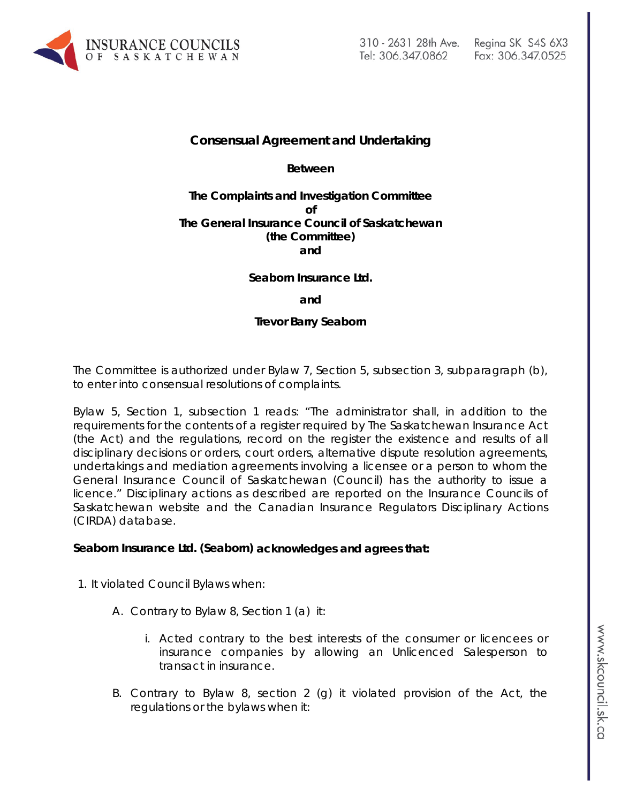

## **Consensual Agreement and Undertaking**

**Between**

### **The Complaints and Investigation Committee of The General Insurance Council of Saskatchewan (the Committee) and**

### **Seaborn Insurance Ltd.**

**and**

**Trevor Barry Seaborn**

The Committee is authorized under Bylaw 7, Section 5, subsection 3, subparagraph (b), to enter into consensual resolutions of complaints.

Bylaw 5, Section 1, subsection 1 reads: "The administrator shall, in addition to the requirements for the contents of a register required by *The Saskatchewan Insurance Act* (the Act) and the regulations, record on the register the existence and results of all disciplinary decisions or orders, court orders, alternative dispute resolution agreements, undertakings and mediation agreements involving a licensee or a person to whom the General Insurance Council of Saskatchewan (Council) has the authority to issue a licence." Disciplinary actions as described are reported on the Insurance Councils of Saskatchewan website and the Canadian Insurance Regulators Disciplinary Actions (CIRDA) database.

#### **Seaborn Insurance Ltd. (Seaborn) acknowledges and agrees that:**

- 1. It violated Council Bylaws when:
	- A. Contrary to Bylaw 8, Section 1 (a) it:
		- i. Acted contrary to the best interests of the consumer or licencees or insurance companies by allowing an Unlicenced Salesperson to transact in insurance.
	- B. Contrary to Bylaw 8, section 2 (g) it violated provision of the Act, the regulations or the bylaws when it: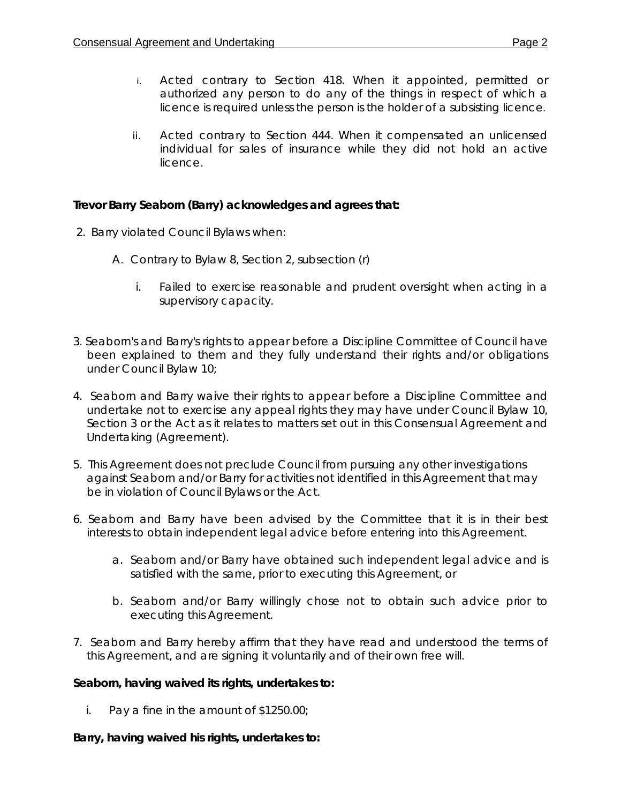- i. Acted contrary to Section 418. When it appointed, permitted or authorized any person to do any of the things in respect of which a licence is required unless the person is the holder of a subsisting licence.
- ii. Acted contrary to Section 444. When it compensated an unlicensed individual for sales of insurance while they did not hold an active licence.

# **Trevor Barry Seaborn (Barry) acknowledges and agrees that:**

- 2. Barry violated Council Bylaws when:
	- A. Contrary to Bylaw 8, Section 2, subsection (r)
		- i. Failed to exercise reasonable and prudent oversight when acting in a supervisory capacity.
- 3. Seaborn's and Barry's rights to appear before a Discipline Committee of Council have been explained to them and they fully understand their rights and/or obligations under Council Bylaw 10;
- 4. Seaborn and Barry waive their rights to appear before a Discipline Committee and undertake not to exercise any appeal rights they may have under Council Bylaw 10, Section 3 or the Act as it relates to matters set out in this Consensual Agreement and Undertaking (Agreement).
- 5. This Agreement does not preclude Council from pursuing any other investigations against Seaborn and/or Barry for activities not identified in this Agreement that may be in violation of Council Bylaws or the Act.
- 6. Seaborn and Barry have been advised by the Committee that it is in their best interests to obtain independent legal advice before entering into this Agreement.
	- a. Seaborn and/or Barry have obtained such independent legal advice and is satisfied with the same, prior to executing this Agreement, or
	- b. Seaborn and/or Barry willingly chose not to obtain such advice prior to executing this Agreement.
- 7. Seaborn and Barry hereby affirm that they have read and understood the terms of this Agreement, and are signing it voluntarily and of their own free will.

# **Seaborn, having waived its rights, undertakes to:**

i. Pay a fine in the amount of \$1250.00;

# **Barry, having waived his rights, undertakes to:**